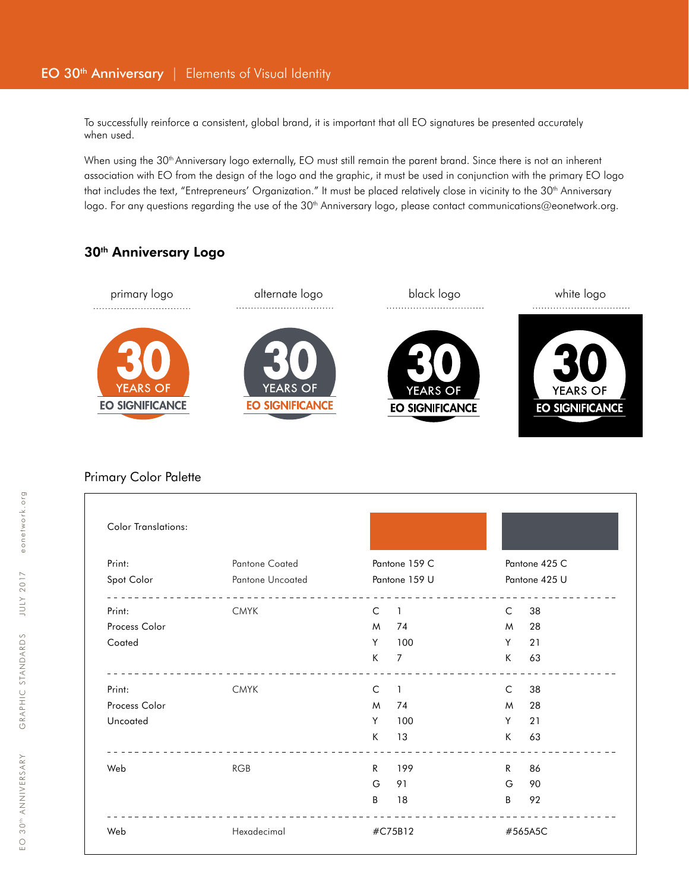To successfully reinforce a consistent, global brand, it is important that all EO signatures be presented accurately when used.

When using the 30<sup>th</sup> Anniversary logo externally, EO must still remain the parent brand. Since there is not an inherent association with EO from the design of the logo and the graphic, it must be used in conjunction with the primary EO logo that includes the text, "Entrepreneurs' Organization." It must be placed relatively close in vicinity to the 30<sup>th</sup> Anniversary logo. For any questions regarding the use of the  $30<sup>th</sup>$  Anniversary logo, please contact communications@eonetwork.org.

# 30<sup>th</sup> Anniversary Logo



### Primary Color Palette

| <b>Color Translations:</b> |                                           |                                |                                |
|----------------------------|-------------------------------------------|--------------------------------|--------------------------------|
| Print:<br>Spot Color       | <b>Pantone Coated</b><br>Pantone Uncoated | Pantone 159 C<br>Pantone 159 U | Pantone 425 C<br>Pantone 425 U |
|                            |                                           |                                |                                |
| Process Color              |                                           | M<br>74                        | 28<br>M                        |
| Coated                     |                                           | Y<br>100                       | 21<br>Y                        |
|                            |                                           | K<br>$\overline{7}$            | K<br>63                        |
| Print:                     | <b>CMYK</b>                               | C<br>$\overline{1}$            | 38<br>C                        |
| Process Color              |                                           | M<br>74                        | 28<br>M                        |
| Uncoated                   |                                           | Y<br>100                       | Y<br>21                        |
|                            |                                           | K<br>13                        | K<br>63                        |
| Web                        | <b>RGB</b>                                | R<br>199                       | R.<br>86                       |
|                            |                                           | G<br>91                        | G<br>90                        |
|                            |                                           | B<br>18                        | B<br>92                        |
| Web                        | Hexadecimal                               | #C75B12                        | #565A5C                        |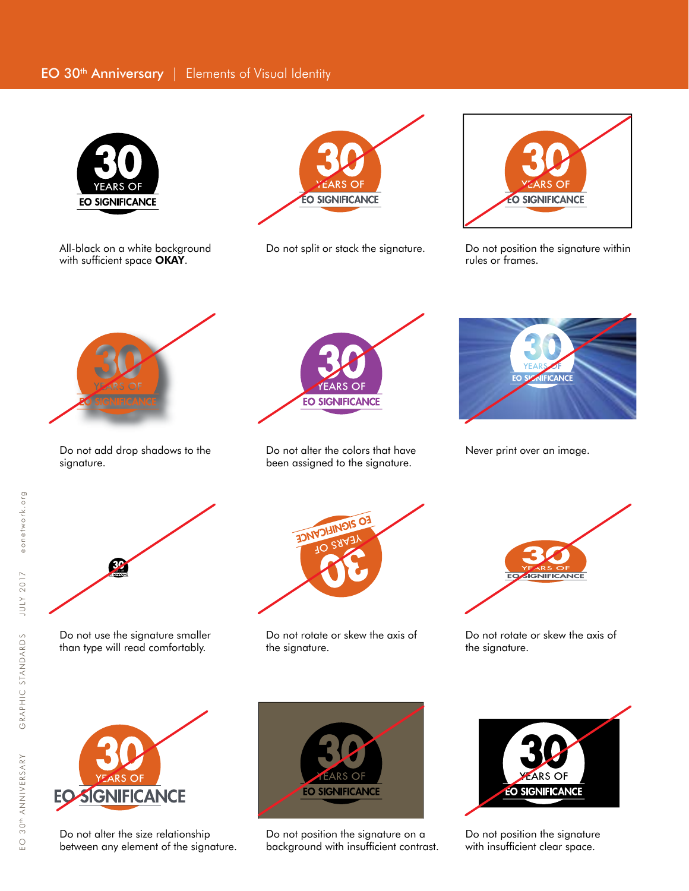## EO 30<sup>th</sup> Anniversary | Elements of Visual Identity



with sufficient space OKAY.



All-black on a white background Do not split or stack the signature.



Do not position the signature within rules or frames.



Do not add drop shadows to the signature.



Do not alter the colors that have been assigned to the signature.



Never print over an image.



Do not use the signature smaller than type will read comfortably.



Do not rotate or skew the axis of the signature.



Do not rotate or skew the axis of the signature.



Do not alter the size relationship between any element of the signature.



Do not position the signature on a background with insufficient contrast.



Do not position the signature with insufficient clear space.